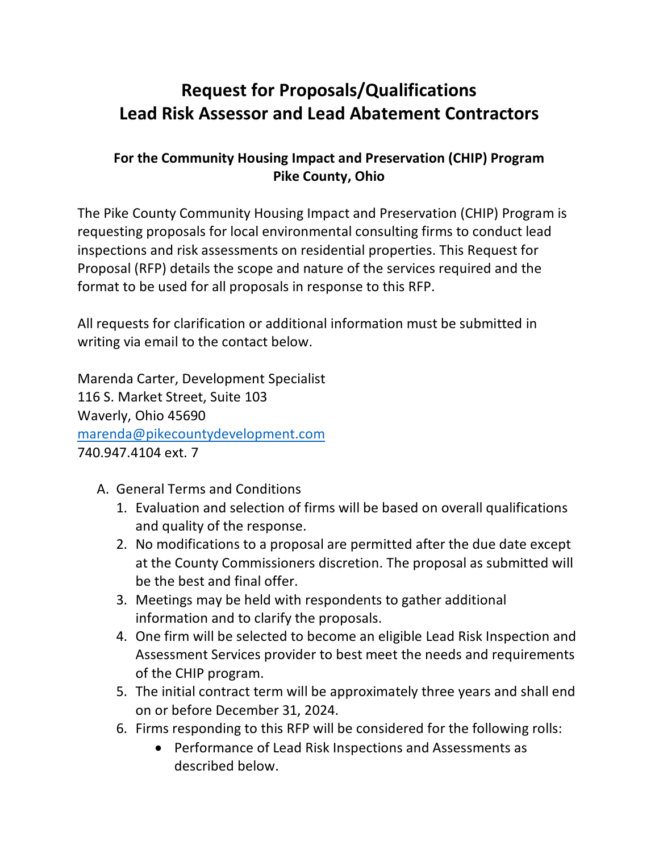# **Request for Proposals/Qualifications Lead Risk Assessor and Lead Abatement Contractors**

## **For the Community Housing Impact and Preservation (CHIP) Program Pike County, Ohio**

The Pike County Community Housing Impact and Preservation (CHIP) Program is requesting proposals for local environmental consulting firms to conduct lead inspections and risk assessments on residential properties. This Request for Proposal (RFP) details the scope and nature of the services required and the format to be used for all proposals in response to this RFP.

All requests for clarification or additional information must be submitted in writing via email to the contact below.

Marenda Carter, Development Specialist 116 S. Market Street, Suite 103 Waverly, Ohio 45690 [marenda@pikecountydevelopment.com](mailto:marenda@pikecountydevelopment.com) 740.947.4104 ext. 7

- A. General Terms and Conditions
	- 1. Evaluation and selection of firms will be based on overall qualifications and quality of the response.
	- 2. No modifications to a proposal are permitted after the due date except at the County Commissioners discretion. The proposal as submitted will be the best and final offer.
	- 3. Meetings may be held with respondents to gather additional information and to clarify the proposals.
	- 4. One firm will be selected to become an eligible Lead Risk Inspection and Assessment Services provider to best meet the needs and requirements of the CHIP program.
	- 5. The initial contract term will be approximately three years and shall end on or before December 31, 2024.
	- 6. Firms responding to this RFP will be considered for the following rolls:
		- Performance of Lead Risk Inspections and Assessments as described below.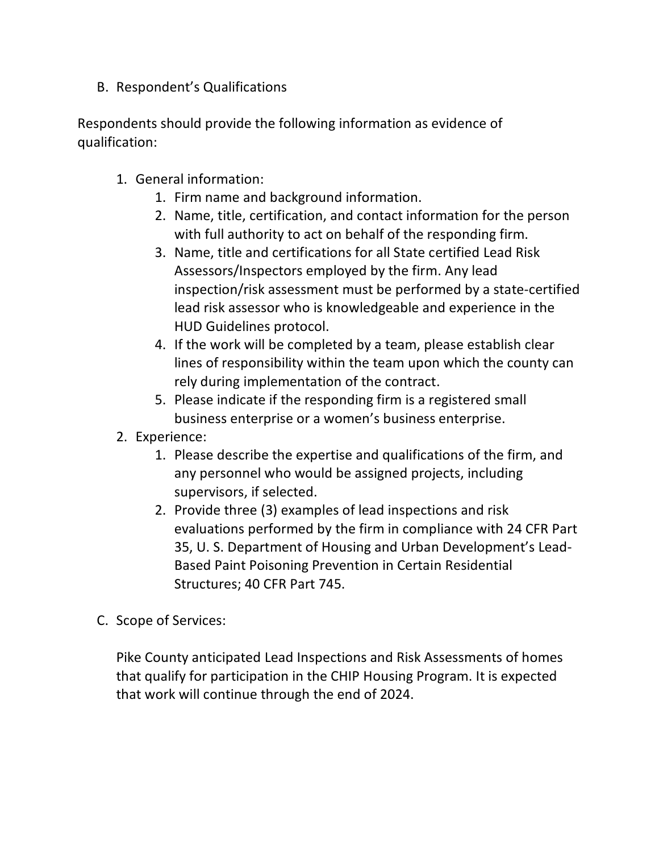### B. Respondent's Qualifications

Respondents should provide the following information as evidence of qualification:

- 1. General information:
	- 1. Firm name and background information.
	- 2. Name, title, certification, and contact information for the person with full authority to act on behalf of the responding firm.
	- 3. Name, title and certifications for all State certified Lead Risk Assessors/Inspectors employed by the firm. Any lead inspection/risk assessment must be performed by a state-certified lead risk assessor who is knowledgeable and experience in the HUD Guidelines protocol.
	- 4. If the work will be completed by a team, please establish clear lines of responsibility within the team upon which the county can rely during implementation of the contract.
	- 5. Please indicate if the responding firm is a registered small business enterprise or a women's business enterprise.
- 2. Experience:
	- 1. Please describe the expertise and qualifications of the firm, and any personnel who would be assigned projects, including supervisors, if selected.
	- 2. Provide three (3) examples of lead inspections and risk evaluations performed by the firm in compliance with 24 CFR Part 35, U. S. Department of Housing and Urban Development's Lead-Based Paint Poisoning Prevention in Certain Residential Structures; 40 CFR Part 745.
- C. Scope of Services:

Pike County anticipated Lead Inspections and Risk Assessments of homes that qualify for participation in the CHIP Housing Program. It is expected that work will continue through the end of 2024.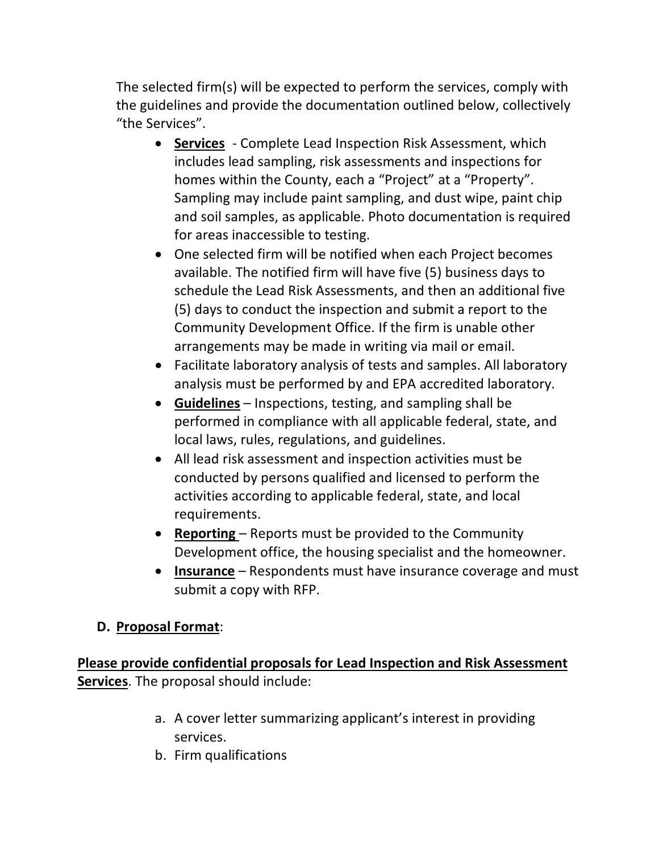The selected firm(s) will be expected to perform the services, comply with the guidelines and provide the documentation outlined below, collectively "the Services".

- **Services** Complete Lead Inspection Risk Assessment, which includes lead sampling, risk assessments and inspections for homes within the County, each a "Project" at a "Property". Sampling may include paint sampling, and dust wipe, paint chip and soil samples, as applicable. Photo documentation is required for areas inaccessible to testing.
- One selected firm will be notified when each Project becomes available. The notified firm will have five (5) business days to schedule the Lead Risk Assessments, and then an additional five (5) days to conduct the inspection and submit a report to the Community Development Office. If the firm is unable other arrangements may be made in writing via mail or email.
- Facilitate laboratory analysis of tests and samples. All laboratory analysis must be performed by and EPA accredited laboratory.
- **Guidelines** Inspections, testing, and sampling shall be performed in compliance with all applicable federal, state, and local laws, rules, regulations, and guidelines.
- All lead risk assessment and inspection activities must be conducted by persons qualified and licensed to perform the activities according to applicable federal, state, and local requirements.
- **Reporting**  Reports must be provided to the Community Development office, the housing specialist and the homeowner.
- **Insurance** Respondents must have insurance coverage and must submit a copy with RFP.

### **D. Proposal Format**:

**Please provide confidential proposals for Lead Inspection and Risk Assessment Services**. The proposal should include:

- a. A cover letter summarizing applicant's interest in providing services.
- b. Firm qualifications